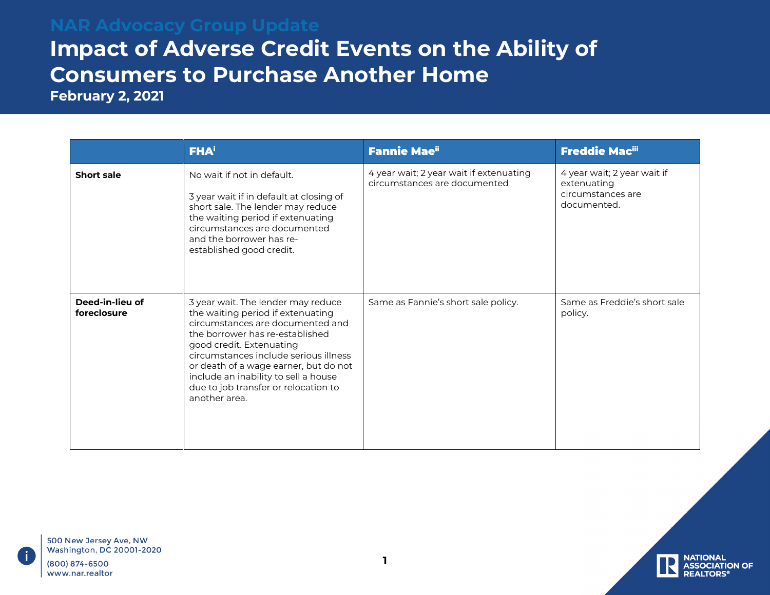## **Impact of Adverse Credit Events on the Ability of Consumers to Purchase Another Home**

**February 2, 2021** 

|                                | <b>FHA</b> <sup>i</sup>                                                                                                                                                                                                                                                                                                                                       | <b>Fannie Mae"</b>                                                      | <b>Freddie Macili</b>                                                          |
|--------------------------------|---------------------------------------------------------------------------------------------------------------------------------------------------------------------------------------------------------------------------------------------------------------------------------------------------------------------------------------------------------------|-------------------------------------------------------------------------|--------------------------------------------------------------------------------|
| Short sale                     | No wait if not in default.<br>3 year wait if in default at closing of<br>short sale. The lender may reduce<br>the waiting period if extenuating<br>circumstances are documented<br>and the borrower has re-<br>established good credit.                                                                                                                       | 4 year wait; 2 year wait if extenuating<br>circumstances are documented | 4 year wait; 2 year wait if<br>extenuating<br>circumstances are<br>documented. |
| Deed-in-lieu of<br>foreclosure | 3 year wait. The lender may reduce<br>the waiting period if extenuating<br>circumstances are documented and<br>the borrower has re-established<br>good credit. Extenuating<br>circumstances include serious illness<br>or death of a wage earner, but do not<br>include an inability to sell a house<br>due to job transfer or relocation to<br>another area. | Same as Fannie's short sale policy.                                     | Same as Freddie's short sale<br>policy.                                        |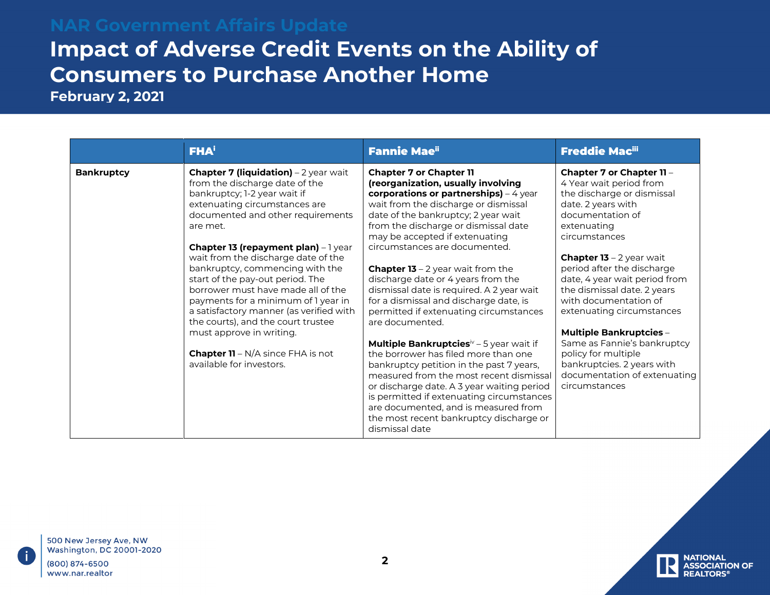## **Impact of Adverse Credit Events on the Ability of Consumers to Purchase Another Home**

**February 2, 2021**

|                   | <b>FHA</b> <sup>i</sup>                                                                                                                                                                                                                                                                                                                                                                                                                                                                                                                                                                                                     | <b>Fannie Mae</b> ii                                                                                                                                                                                                                                                                                                                                                                                                                                                                                                                                                                                                                                                                                                                                                                                                                                                                                                                  | <b>Freddie Macili</b>                                                                                                                                                                                                                                                                                                                                                                                                                                                                                                      |
|-------------------|-----------------------------------------------------------------------------------------------------------------------------------------------------------------------------------------------------------------------------------------------------------------------------------------------------------------------------------------------------------------------------------------------------------------------------------------------------------------------------------------------------------------------------------------------------------------------------------------------------------------------------|---------------------------------------------------------------------------------------------------------------------------------------------------------------------------------------------------------------------------------------------------------------------------------------------------------------------------------------------------------------------------------------------------------------------------------------------------------------------------------------------------------------------------------------------------------------------------------------------------------------------------------------------------------------------------------------------------------------------------------------------------------------------------------------------------------------------------------------------------------------------------------------------------------------------------------------|----------------------------------------------------------------------------------------------------------------------------------------------------------------------------------------------------------------------------------------------------------------------------------------------------------------------------------------------------------------------------------------------------------------------------------------------------------------------------------------------------------------------------|
| <b>Bankruptcy</b> | <b>Chapter 7 (liquidation)</b> $-2$ year wait<br>from the discharge date of the<br>bankruptcy; 1-2 year wait if<br>extenuating circumstances are<br>documented and other requirements<br>are met.<br>Chapter 13 (repayment plan) - 1 year<br>wait from the discharge date of the<br>bankruptcy, commencing with the<br>start of the pay-out period. The<br>borrower must have made all of the<br>payments for a minimum of 1 year in<br>a satisfactory manner (as verified with<br>the courts), and the court trustee<br>must approve in writing.<br><b>Chapter 11</b> – $N/A$ since FHA is not<br>available for investors. | <b>Chapter 7 or Chapter 11</b><br>(reorganization, usually involving<br>corporations or partnerships) - 4 year<br>wait from the discharge or dismissal<br>date of the bankruptcy; 2 year wait<br>from the discharge or dismissal date<br>may be accepted if extenuating<br>circumstances are documented.<br><b>Chapter 13</b> – 2 year wait from the<br>discharge date or 4 years from the<br>dismissal date is required. A 2 year wait<br>for a dismissal and discharge date, is<br>permitted if extenuating circumstances<br>are documented.<br>Multiple Bankruptcies <sup>iv</sup> – 5 year wait if<br>the borrower has filed more than one<br>bankruptcy petition in the past 7 years,<br>measured from the most recent dismissal<br>or discharge date. A 3 year waiting period<br>is permitted if extenuating circumstances<br>are documented, and is measured from<br>the most recent bankruptcy discharge or<br>dismissal date | Chapter 7 or Chapter 11 -<br>4 Year wait period from<br>the discharge or dismissal<br>date. 2 years with<br>documentation of<br>extenuating<br>circumstances<br><b>Chapter 13</b> - 2 year wait<br>period after the discharge<br>date, 4 year wait period from<br>the dismissal date. 2 years<br>with documentation of<br>extenuating circumstances<br><b>Multiple Bankruptcies -</b><br>Same as Fannie's bankruptcy<br>policy for multiple<br>bankruptcies. 2 years with<br>documentation of extenuating<br>circumstances |